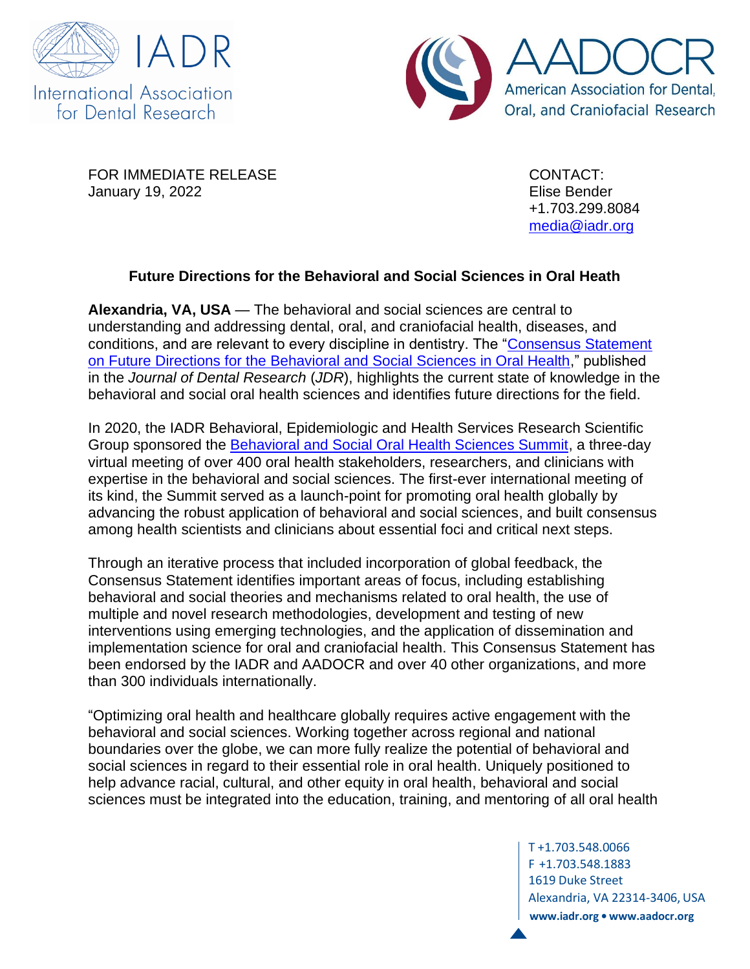



FOR IMMEDIATE RELEASE CONTACT: January 19, 2022 Elise Bender

+1.703.299.8084 [media@iadr.org](mailto:media@iadr.org)

## **Future Directions for the Behavioral and Social Sciences in Oral Heath**

**Alexandria, VA, USA** — The behavioral and social sciences are central to understanding and addressing dental, oral, and craniofacial health, diseases, and conditions, and are relevant to every discipline in dentistry. The ["Consensus Statement](file:///C:/Users/ebender/AppData/Local/Microsoft/Windows/INetCache/Content.Outlook/S2SJ8ZP0/Your%20article%20is%20published%20online%20now:%20https:/journals.sagepub.com/doi/full/10.1177/00220345211068033)  [on Future Directions for the Behavioral and Social Sciences in Oral Health,](file:///C:/Users/ebender/AppData/Local/Microsoft/Windows/INetCache/Content.Outlook/S2SJ8ZP0/Your%20article%20is%20published%20online%20now:%20https:/journals.sagepub.com/doi/full/10.1177/00220345211068033)" published in the *Journal of Dental Research* (*JDR*), highlights the current state of knowledge in the behavioral and social oral health sciences and identifies future directions for the field.

In 2020, the IADR Behavioral, Epidemiologic and Health Services Research Scientific Group sponsored the [Behavioral and Social Oral Health Sciences Summit,](https://www.bsohsummit2020.com/) a three-day virtual meeting of over 400 oral health stakeholders, researchers, and clinicians with expertise in the behavioral and social sciences. The first-ever international meeting of its kind, the Summit served as a launch-point for promoting oral health globally by advancing the robust application of behavioral and social sciences, and built consensus among health scientists and clinicians about essential foci and critical next steps.

Through an iterative process that included incorporation of global feedback, the Consensus Statement identifies important areas of focus, including establishing behavioral and social theories and mechanisms related to oral health, the use of multiple and novel research methodologies, development and testing of new interventions using emerging technologies, and the application of dissemination and implementation science for oral and craniofacial health. This Consensus Statement has been endorsed by the IADR and AADOCR and over 40 other organizations, and more than 300 individuals internationally.

"Optimizing oral health and healthcare globally requires active engagement with the behavioral and social sciences. Working together across regional and national boundaries over the globe, we can more fully realize the potential of behavioral and social sciences in regard to their essential role in oral health. Uniquely positioned to help advance racial, cultural, and other equity in oral health, behavioral and social sciences must be integrated into the education, training, and mentoring of all oral health

> T +1.703.548.0066 F +1.703.548.1883 1619 Duke Street Alexandria, VA 22314-3406, USA **[www.iadr.org](http://www.iadr.org/) • [www.aadocr.org](http://www.aadocr.org/)**